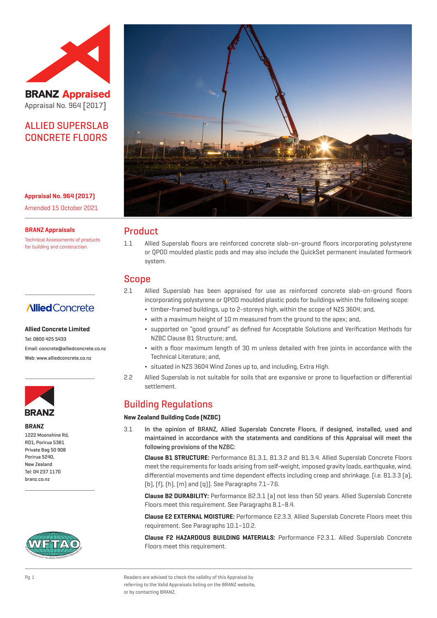

**BRANZ Appraised** Appraisal No. 964 [2017]

# ALLIED SUPERSLAB CONCRETE FLOORS

**Appraisal No. 964 (2017)** Amended 15 October 2021

**BRANZ Appraisals**

Technical Assessments of products for building and construction.

# **Allied** Concrete

#### **Allied Concrete Limited**

Tel: 0800 425 5433 Email: concrete@alliedconcrete.co.nz Web: www.alliedconcrete.co.nz



**BRANZ** 1222 Moonshine Rd, RD1, Porirua 5381 Private Bag 50 908

Porirua 5240, New Zealand Tel: 04 237 1170 branz.co.nz





## Product

1.1 Allied Superslab floors are reinforced concrete slab-on-ground floors incorporating polystyrene or QPOD moulded plastic pods and may also include the QuickSet permanent insulated formwork system.

## Scope

- 2.1 Allied Superslab has been appraised for use as reinforced concrete slab-on-ground floors incorporating polystyrene or QPOD moulded plastic pods for buildings within the following scope:
	- ¬ timber-framed buildings, up to 2-storeys high, within the scope of NZS 3604; and,
	- ¬ with a maximum height of 10 m measured from the ground to the apex; and,
	- ¬ supported on "good ground" as defined for Acceptable Solutions and Verification Methods for NZBC Clause B1 Structure; and,
	- ¬ with a floor maximum length of 30 m unless detailed with free joints in accordance with the Technical Literature; and,
	- ¬ situated in NZS 3604 Wind Zones up to, and including, Extra High.
- 2.2 Allied Superslab is not suitable for soils that are expansive or prone to liquefaction or differential settlement.

# Building Regulations

#### **New Zealand Building Code (NZBC)**

3.1 In the opinion of BRANZ, Allied Superslab Concrete Floors, if designed, installed, used and maintained in accordance with the statements and conditions of this Appraisal will meet the following provisions of the NZBC:

**Clause B1 STRUCTURE:** Performance B1.3.1, B1.3.2 and B1.3.4. Allied Superslab Concrete Floors meet the requirements for loads arising from self-weight, imposed gravity loads, earthquake, wind, differential movements and time dependent effects including creep and shrinkage. [i.e. B1.3.3 (a), (b), (f), (h), (m) and (q)]. See Paragraphs 7.1–7.6.

**Clause B2 DURABILITY:** Performance B2.3.1 (a) not less than 50 years. Allied Superslab Concrete Floors meet this requirement. See Paragraphs 8.1–8.4.

**Clause E2 EXTERNAL MOISTURE:** Performance E2.3.3. Allied Superslab Concrete Floors meet this requirement. See Paragraphs 10.1–10.2.

**Clause F2 HAZARDOUS BUILDING MATERIALS:** Performance F2.3.1. Allied Superslab Concrete Floors meet this requirement.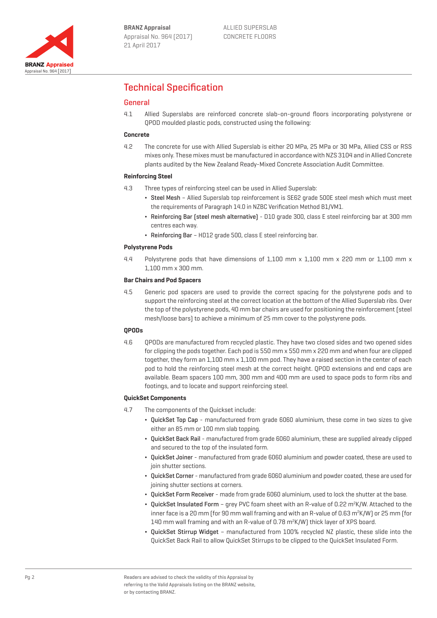

# Technical Specification

#### General

4.1 Allied Superslabs are reinforced concrete slab-on-ground floors incorporating polystyrene or QPOD moulded plastic pods, constructed using the following:

#### **Concrete**

4.2 The concrete for use with Allied Superslab is either 20 MPa, 25 MPa or 30 MPa, Allied CSS or RSS mixes only. These mixes must be manufactured in accordance with NZS 3104 and in Allied Concrete plants audited by the New Zealand Ready-Mixed Concrete Association Audit Committee.

#### **Reinforcing Steel**

- 4.3 Three types of reinforcing steel can be used in Allied Superslab:
	- ¬ Steel Mesh Allied Superslab top reinforcement is SE62 grade 500E steel mesh which must meet the requirements of Paragraph 14.0 in NZBC Verification Method B1/VM1.
	- ¬ Reinforcing Bar (steel mesh alternative) D10 grade 300, class E steel reinforcing bar at 300 mm centres each way.
	- ¬ Reinforcing Bar HD12 grade 500, class E steel reinforcing bar.

#### **Polystyrene Pods**

4.4 Polystyrene pods that have dimensions of 1,100 mm x 1,100 mm x 220 mm or 1,100 mm x 1,100 mm x 300 mm.

#### **Bar Chairs and Pod Spacers**

4.5 Generic pod spacers are used to provide the correct spacing for the polystyrene pods and to support the reinforcing steel at the correct location at the bottom of the Allied Superslab ribs. Over the top of the polystyrene pods, 40 mm bar chairs are used for positioning the reinforcement (steel mesh/loose bars) to achieve a minimum of 25 mm cover to the polystyrene pods.

#### **QPODs**

4.6 QPODs are manufactured from recycled plastic. They have two closed sides and two opened sides for clipping the pods together. Each pod is 550 mm x 550 mm x 220 mm and when four are clipped together, they form an 1,100 mm x 1,100 mm pod. They have a raised section in the center of each pod to hold the reinforcing steel mesh at the correct height. QPOD extensions and end caps are available. Beam spacers 100 mm, 300 mm and 400 mm are used to space pods to form ribs and footings, and to locate and support reinforcing steel.

#### **QuickSet Components**

- 4.7 The components of the Quickset include:
	- ¬ QuickSet Top Cap manufactureed from grade 6060 aluminium, these come in two sizes to give either an 85 mm or 100 mm slab topping.
	- ¬ QuickSet Back Rail manufactured from grade 6060 aluminium, these are supplied already clipped and secured to the top of the insulated form.
	- ¬ QuickSet Joiner manufactured from grade 6060 aluminium and powder coated, these are used to join shutter sections.
	- ¬ QuickSet Corner manufactured from grade 6060 aluminium and powder coated, these are used for joining shutter sections at corners.
	- ¬ QuickSet Form Receiver made from grade 6060 aluminium, used to lock the shutter at the base.
	- QuickSet Insulated Form grey PVC foam sheet with an R-value of 0.22 m<sup>2</sup>K/W. Attached to the inner face is a 20 mm (for 90 mm wall framing and with an R-value of 0.63  $\text{m}^2 \text{K/W}$ ) or 25 mm (for 140 mm wall framing and with an R-value of 0.78 m<sup>2</sup>K/W) thick layer of XPS board.
	- ¬ QuickSet Stirrup Widget manufactured from 100% recycled NZ plastic, these slide into the QuickSet Back Rail to allow QuickSet Stirrups to be clipped to the QuickSet Insulated Form.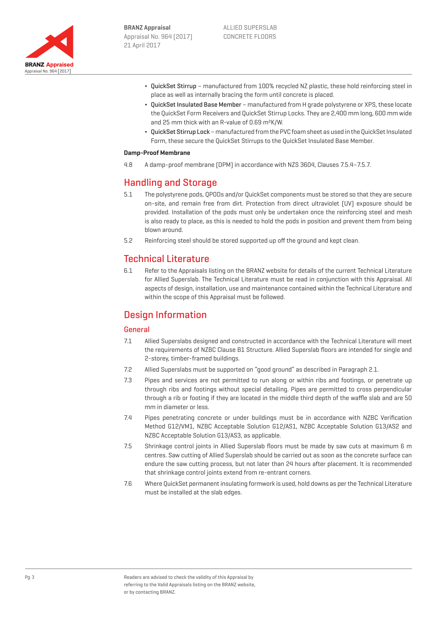

- ¬ QuickSet Stirrup manufactured from 100% recycled NZ plastic, these hold reinforcing steel in place as well as internally bracing the form until concrete is placed.
- ¬ QuickSet Insulated Base Member manufactured from H grade polystyrene or XPS, these locate the QuickSet Form Receivers and QuickSet Stirrup Locks. They are 2,400 mm long, 600 mm wide and 25 mm thick with an R-value of 0.69 m²K/W.
- ¬ QuickSet Stirrup Lock manufactured from the PVC foam sheet as used in the QuickSet Insulated Form, these secure the QuickSet Stirrups to the QuickSet Insulated Base Member.

#### **Damp-Proof Membrane**

4.8 A damp-proof membrane (DPM) in accordance with NZS 3604, Clauses 7.5.4–7.5.7.

## Handling and Storage

- 5.1 The polystyrene pods, QPODs and/or QuickSet components must be stored so that they are secure on-site, and remain free from dirt. Protection from direct ultraviolet (UV) exposure should be provided. Installation of the pods must only be undertaken once the reinforcing steel and mesh is also ready to place, as this is needed to hold the pods in position and prevent them from being blown around.
- 5.2 Reinforcing steel should be stored supported up off the ground and kept clean.

## Technical Literature

6.1 Refer to the Appraisals listing on the BRANZ website for details of the current Technical Literature for Allied Superslab. The Technical Literature must be read in conjunction with this Appraisal. All aspects of design, installation, use and maintenance contained within the Technical Literature and within the scope of this Appraisal must be followed.

# Design Information

#### General

- 7.1 Allied Superslabs designed and constructed in accordance with the Technical Literature will meet the requirements of NZBC Clause B1 Structure. Allied Superslab floors are intended for single and 2-storey, timber-framed buildings.
- 7.2 Allied Superslabs must be supported on "good ground" as described in Paragraph 2.1.
- 7.3 Pipes and services are not permitted to run along or within ribs and footings, or penetrate up through ribs and footings without special detailing. Pipes are permitted to cross perpendicular through a rib or footing if they are located in the middle third depth of the waffle slab and are 50 mm in diameter or less.
- 7.4 Pipes penetrating concrete or under buildings must be in accordance with NZBC Verification Method G12/VM1, NZBC Acceptable Solution G12/AS1, NZBC Acceptable Solution G13/AS2 and NZBC Acceptable Solution G13/AS3, as applicable.
- 7.5 Shrinkage control joints in Allied Superslab floors must be made by saw cuts at maximum 6 m centres. Saw cutting of Allied Superslab should be carried out as soon as the concrete surface can endure the saw cutting process, but not later than 24 hours after placement. It is recommended that shrinkage control joints extend from re-entrant corners.
- 7.6 Where QuickSet permanent insulating formwork is used, hold downs as per the Technical Literature must be installed at the slab edges.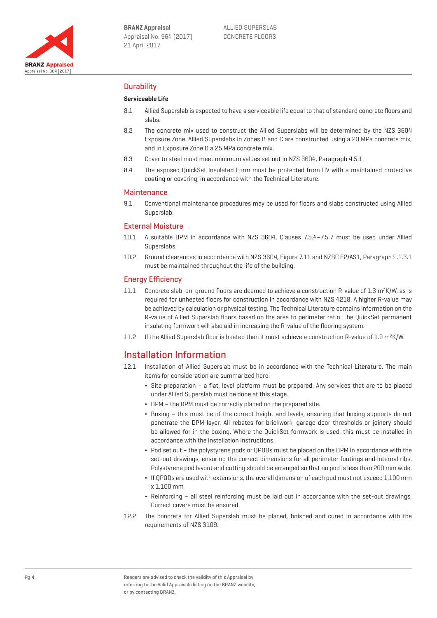

### **Durability**

#### **Serviceable Life**

- 8.1 Allied Superslab is expected to have a serviceable life equal to that of standard concrete floors and slabs.
- 8.2 The concrete mix used to construct the Allied Superslabs will be determined by the NZS 3604 Exposure Zone. Allied Superslabs in Zones B and C are constructed using a 20 MPa concrete mix, and in Exposure Zone D a 25 MPa concrete mix.
- 8.3 Cover to steel must meet minimum values set out in NZS 3604, Paragraph 4.5.1.
- 8.4 The exposed QuickSet Insulated Form must be protected from UV with a maintained protective coating or covering, in accordance with the Technical Literature.

#### **Maintenance**

9.1 Conventional maintenance procedures may be used for floors and slabs constructed using Allied Superslab.

#### External Moisture

- 10.1 A suitable DPM in accordance with NZS 3604, Clauses 7.5.4–7.5.7 must be used under Allied Superslabs.
- 10.2 Ground clearances in accordance with NZS 3604, Figure 7.11 and NZBC E2/AS1, Paragraph 9.1.3.1 must be maintained throughout the life of the building.

#### Energy Efficiency

- 11.1 Concrete slab-on-ground floors are deemed to achieve a construction R-value of 1.3 m²K/W, as is required for unheated floors for construction in accordance with NZS 4218. A higher R-value may be achieved by calculation or physical testing. The Technical Literature contains information on the R-value of Allied Superslab floors based on the area to perimeter ratio. The QuickSet permanent insulating formwork will also aid in increasing the R-value of the flooring system.
- 11.2 If the Allied Superslab floor is heated then it must achieve a construction R-value of 1.9 m²K/W.

## Installation Information

- 12.1 Installation of Allied Superslab must be in accordance with the Technical Literature. The main items for consideration are summarized here.
	- ¬ Site preparation a flat, level platform must be prepared. Any services that are to be placed under Allied Superslab must be done at this stage.
	- ¬ DPM the DPM must be correctly placed on the prepared site.
	- ¬ Boxing this must be of the correct height and levels, ensuring that boxing supports do not penetrate the DPM layer. All rebates for brickwork, garage door thresholds or joinery should be allowed for in the boxing. Where the QuickSet formwork is used, this must be installed in accordance with the installation instructions.
	- ¬ Pod set out the polystyrene pods or QPODs must be placed on the DPM in accordance with the set-out drawings, ensuring the correct dimensions for all perimeter footings and internal ribs. Polystyrene pod layout and cutting should be arranged so that no pod is less than 200 mm wide.
	- ¬ If QPODs are used with extensions, the overall dimension of each pod must not exceed 1,100 mm x 1,100 mm
	- ¬ Reinforcing all steel reinforcing must be laid out in accordance with the set-out drawings. Correct covers must be ensured.
- 12.2 The concrete for Allied Superslab must be placed, finished and cured in accordance with the requirements of NZS 3109.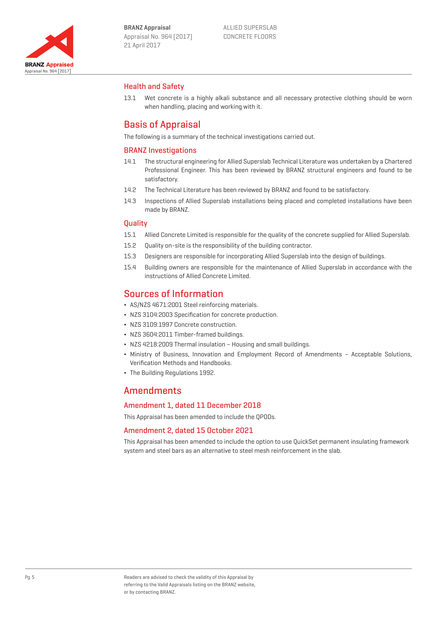

### Health and Safety

13.1 Wet concrete is a highly alkali substance and all necessary protective clothing should be worn when handling, placing and working with it.

# Basis of Appraisal

The following is a summary of the technical investigations carried out.

#### BRANZ Investigations

- 14.1 The structural engineering for Allied Superslab Technical Literature was undertaken by a Chartered Professional Engineer. This has been reviewed by BRANZ structural engineers and found to be satisfactory.
- 14.2 The Technical Literature has been reviewed by BRANZ and found to be satisfactory.
- 14.3 Inspections of Allied Superslab installations being placed and completed installations have been made by BRANZ.

#### **Quality**

- 15.1 Allied Concrete Limited is responsible for the quality of the concrete supplied for Allied Superslab.
- 15.2 Quality on-site is the responsibility of the building contractor.
- 15.3 Designers are responsible for incorporating Allied Superslab into the design of buildings.
- 15.4 Building owners are responsible for the maintenance of Allied Superslab in accordance with the instructions of Allied Concrete Limited.

### Sources of Information

- ¬ AS/NZS 4671:2001 Steel reinforcing materials.
- ¬ NZS 3104:2003 Specification for concrete production.
- ¬ NZS 3109:1997 Concrete construction.
- ¬ NZS 3604:2011 Timber-framed buildings.
- ¬ NZS 4218:2009 Thermal insulation Housing and small buildings.
- ¬ Ministry of Business, Innovation and Employment Record of Amendments Acceptable Solutions, Verification Methods and Handbooks.
- ¬ The Building Regulations 1992.

## **Amendments**

#### Amendment 1, dated 11 December 2018

This Appraisal has been amended to include the QPODs.

#### Amendment 2, dated 15 October 2021

This Appraisal has been amended to include the option to use QuickSet permanent insulating framework system and steel bars as an alternative to steel mesh reinforcement in the slab.